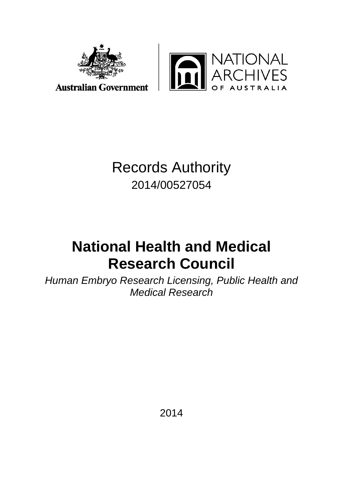

**TIONAL**<br>CHIVES In

**Australian Government** 

## Records Authority 2014/00527054

# **National Health and Medical Research Council**

*Human Embryo Research Licensing, Public Health and Medical Research*

2014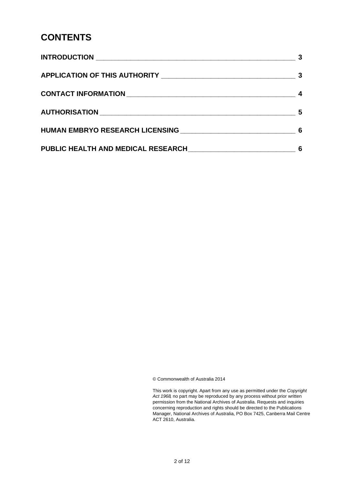#### **CONTENTS**

|                                                                                    | 5 |
|------------------------------------------------------------------------------------|---|
| HUMAN EMBRYO RESEARCH LICENSING NATIONAL RESEARCH OF STREET AND RESEARCH LICENSING |   |
|                                                                                    | 6 |

© Commonwealth of Australia 2014

This work is copyright. Apart from any use as permitted under the *Copyright Act 1968,* no part may be reproduced by any process without prior written permission from the National Archives of Australia. Requests and inquiries concerning reproduction and rights should be directed to the Publications Manager, National Archives of Australia, PO Box 7425, Canberra Mail Centre ACT 2610, Australia.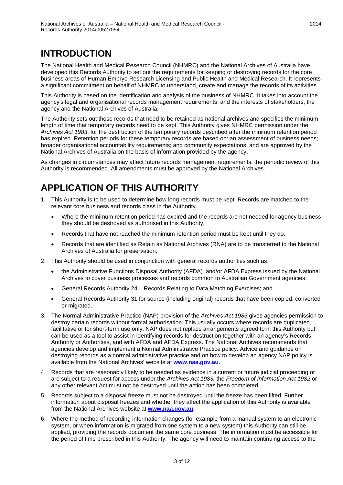### **INTRODUCTION**

The National Health and Medical Research Council (NHMRC) and the National Archives of Australia have developed this Records Authority to set out the requirements for keeping or destroying records for the core business areas of Human Embryo Research Licensing and Public Health and Medical Research. It represents a significant commitment on behalf of NHMRC to understand, create and manage the records of its activities.

This Authority is based on the identification and analysis of the business of NHMRC. It takes into account the agency's legal and organisational records management requirements, and the interests of stakeholders, the agency and the National Archives of Australia.

The Authority sets out those records that need to be retained as national archives and specifies the minimum length of time that temporary records need to be kept. This Authority gives NHMRC permission under the *Archives Act 1983*, for the destruction of the temporary records described after the minimum retention period has expired. Retention periods for these temporary records are based on: an assessment of business needs; broader organisational accountability requirements; and community expectations, and are approved by the National Archives of Australia on the basis of information provided by the agency.

As changes in circumstances may affect future records management requirements, the periodic review of this Authority is recommended. All amendments must be approved by the National Archives.

#### **APPLICATION OF THIS AUTHORITY**

- 1. This Authority is to be used to determine how long records must be kept. Records are matched to the relevant core business and records class in the Authority.
	- Where the minimum retention period has expired and the records are not needed for agency business they should be destroyed as authorised in this Authority.
	- Records that have not reached the minimum retention period must be kept until they do.
	- Records that are identified as Retain as National Archives (RNA) are to be transferred to the National Archives of Australia for preservation.
- 2. This Authority should be used in conjunction with general records authorities such as:
	- the Administrative Functions Disposal Authority (AFDA) and/or AFDA Express issued by the National Archives to cover business processes and records common to Australian Government agencies;
	- General Records Authority 24 Records Relating to Data Matching Exercises; and
	- General Records Authority 31 for source (including original) records that have been copied, converted or migrated.
- 3. The Normal Administrative Practice (NAP) provision of the *Archives Act 1983* gives agencies permission to destroy certain records without formal authorisation. This usually occurs where records are duplicated, facilitative or for short-term use only. NAP does not replace arrangements agreed to in this Authority but can be used as a tool to assist in identifying records for destruction together with an agency's Records Authority or Authorities, and with AFDA and AFDA Express. The National Archives recommends that agencies develop and implement a Normal Administrative Practice policy. Advice and guidance on destroying records as a normal administrative practice and on how to develop an agency NAP policy is available from the National Archives' website at **[www.naa.gov.au](http://www.naa.gov.au/)**.
- 4. Records that are reasonably likely to be needed as evidence in a current or future judicial proceeding or are subject to a request for access under the *Archives Act 1983,* the *Freedom of Information Act 1982* or any other relevant Act must not be destroyed until the action has been completed.
- 5. Records subject to a disposal freeze must not be destroyed until the freeze has been lifted. Further information about disposal freezes and whether they affect the application of this Authority is available from the National Archives website at **[www.naa.gov.au](http://www.naa.gov.au/)**.
- 6. Where the method of recording information changes (for example from a manual system to an electronic system, or when information is migrated from one system to a new system) this Authority can still be applied, providing the records document the same core business. The information must be accessible for the period of time prescribed in this Authority. The agency will need to maintain continuing access to the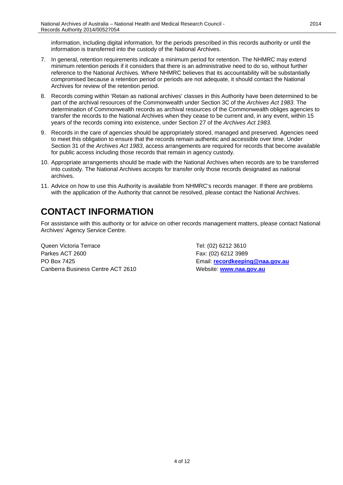information, including digital information, for the periods prescribed in this records authority or until the information is transferred into the custody of the National Archives.

- 7. In general, retention requirements indicate a minimum period for retention. The NHMRC may extend minimum retention periods if it considers that there is an administrative need to do so, without further reference to the National Archives. Where NHMRC believes that its accountability will be substantially compromised because a retention period or periods are not adequate, it should contact the National Archives for review of the retention period.
- 8. Records coming within 'Retain as national archives' classes in this Authority have been determined to be part of the archival resources of the Commonwealth under Section 3C of the *Archives Act 1983*. The determination of Commonwealth records as archival resources of the Commonwealth obliges agencies to transfer the records to the National Archives when they cease to be current and, in any event, within 15 years of the records coming into existence, under Section 27 of the *Archives Act 1983*.
- 9. Records in the care of agencies should be appropriately stored, managed and preserved. Agencies need to meet this obligation to ensure that the records remain authentic and accessible over time. Under Section 31 of the *Archives Act 1983*, access arrangements are required for records that become available for public access including those records that remain in agency custody.
- 10. Appropriate arrangements should be made with the National Archives when records are to be transferred into custody. The National Archives accepts for transfer only those records designated as national archives.
- 11. Advice on how to use this Authority is available from NHMRC's records manager. If there are problems with the application of the Authority that cannot be resolved, please contact the National Archives.

### **CONTACT INFORMATION**

For assistance with this authority or for advice on other records management matters, please contact National Archives' Agency Service Centre.

Queen Victoria Terrace Tel: (02) 6212 3610 Parkes ACT 2600 Fax: (02) 6212 3989 PO Box 7425 Email: **[recordkeeping@naa.gov.au](mailto:recordkeeping@naa.gov.au)** Canberra Business Centre ACT 2610 Website: **[www.naa.gov.au](http://www.naa.gov.au/)**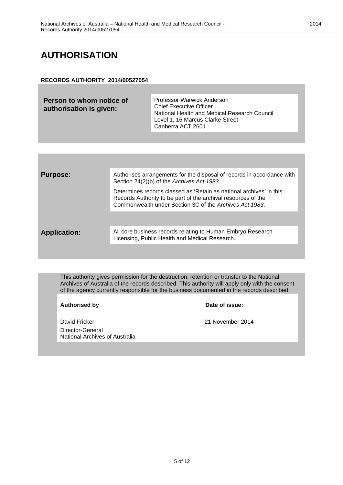#### **AUTHORISATION**

#### **RECORDS AUTHORITY 2014/00527054**

| Person to whom notice of<br>authorisation is given: | <b>Professor Warwick Anderson</b><br><b>Chief Executive Officer</b><br>National Health and Medical Research Council<br>Level 1, 16 Marcus Clarke Street<br>Canberra ACT 2601 |
|-----------------------------------------------------|------------------------------------------------------------------------------------------------------------------------------------------------------------------------------|
|                                                     |                                                                                                                                                                              |

| <b>Purpose:</b>     | Authorises arrangements for the disposal of records in accordance with<br>Section 24(2)(b) of the Archives Act 1983.                                                                            |
|---------------------|-------------------------------------------------------------------------------------------------------------------------------------------------------------------------------------------------|
|                     | Determines records classed as 'Retain as national archives' in this<br>Records Authority to be part of the archival resources of the<br>Commonwealth under Section 3C of the Archives Act 1983. |
|                     |                                                                                                                                                                                                 |
| <b>Application:</b> | All core business records relating to Human Embryo Research<br>Licensing, Public Health and Medical Research.                                                                                   |
|                     |                                                                                                                                                                                                 |

This authority gives permission for the destruction, retention or transfer to the National Archives of Australia of the records described. This authority will apply only with the consent of the agency currently responsible for the business documented in the records described.

**Authorised by Date of issue:**

David Fricker 21 November 2014 Director-General National Archives of Australia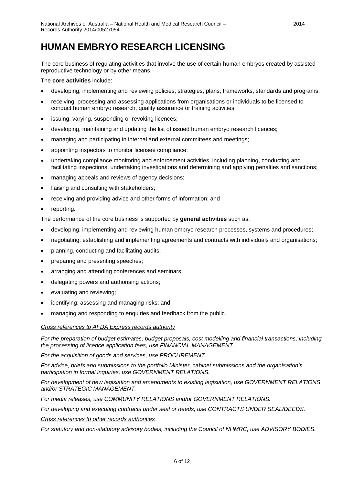#### **HUMAN EMBRYO RESEARCH LICENSING**

The core business of regulating activities that involve the use of certain human embryos created by assisted reproductive technology or by other means.

The **core activities** include:

- developing, implementing and reviewing policies, strategies, plans, frameworks, standards and programs;
- receiving, processing and assessing applications from organisations or individuals to be licensed to conduct human embryo research, quality assurance or training activities;
- issuing, varying, suspending or revoking licences;
- developing, maintaining and updating the list of issued human embryo research licences;
- managing and participating in internal and external committees and meetings;
- appointing inspectors to monitor licensee compliance;
- undertaking compliance monitoring and enforcement activities, including planning, conducting and facilitating inspections, undertaking investigations and determining and applying penalties and sanctions;
- managing appeals and reviews of agency decisions;
- liaising and consulting with stakeholders;
- receiving and providing advice and other forms of information; and
- reporting.

The performance of the core business is supported by **general activities** such as:

- developing, implementing and reviewing human embryo research processes, systems and procedures;
- negotiating, establishing and implementing agreements and contracts with individuals and organisations;
- planning, conducting and facilitating audits;
- preparing and presenting speeches;
- arranging and attending conferences and seminars;
- delegating powers and authorising actions;
- evaluating and reviewing;
- identifying, assessing and managing risks; and
- managing and responding to enquiries and feedback from the public.

*Cross references to AFDA Express records authority*

*For the preparation of budget estimates, budget proposals, cost modelling and financial transactions, including the processing of licence application fees, use FINANCIAL MANAGEMENT.*

*For the acquisition of goods and services, use PROCUREMENT.* 

*For advice, briefs and submissions to the portfolio Minister, cabinet submissions and the organisation's participation in formal inquiries, use GOVERNMENT RELATIONS.*

*For development of new legislation and amendments to existing legislation, use GOVERNMENT RELATIONS and/or STRATEGIC MANAGEMENT.*

*For media releases, use COMMUNITY RELATIONS and/or GOVERNMENT RELATIONS.*

*For developing and executing contracts under seal or deeds, use CONTRACTS UNDER SEAL/DEEDS.*

*Cross references to other records authorities*

*For statutory and non-statutory advisory bodies, including the Council of NHMRC, use ADVISORY BODIES.*

2014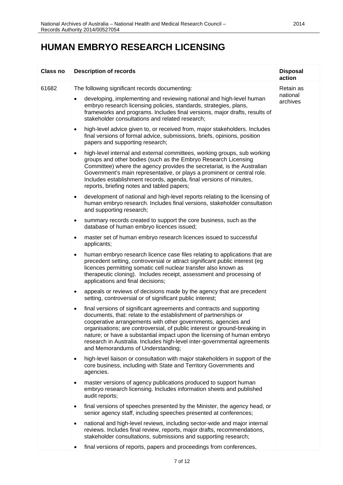#### **HUMAN EMBRYO RESEARCH LICENSING**

| <b>Class no</b> | <b>Description of records</b>                                                                                                                                                                                                                                                                                                                                                                                                                                                                    | <b>Disposal</b><br>action |
|-----------------|--------------------------------------------------------------------------------------------------------------------------------------------------------------------------------------------------------------------------------------------------------------------------------------------------------------------------------------------------------------------------------------------------------------------------------------------------------------------------------------------------|---------------------------|
| 61682           | The following significant records documenting:                                                                                                                                                                                                                                                                                                                                                                                                                                                   | Retain as                 |
|                 | developing, implementing and reviewing national and high-level human<br>embryo research licensing policies, standards, strategies, plans,<br>frameworks and programs. Includes final versions, major drafts, results of<br>stakeholder consultations and related research;                                                                                                                                                                                                                       | national<br>archives      |
|                 | high-level advice given to, or received from, major stakeholders. Includes<br>$\bullet$<br>final versions of formal advice, submissions, briefs, opinions, position<br>papers and supporting research;                                                                                                                                                                                                                                                                                           |                           |
|                 | high-level internal and external committees, working groups, sub working<br>$\bullet$<br>groups and other bodies (such as the Embryo Research Licensing<br>Committee) where the agency provides the secretariat, is the Australian<br>Government's main representative, or plays a prominent or central role.<br>Includes establishment records, agenda, final versions of minutes,<br>reports, briefing notes and tabled papers;                                                                |                           |
|                 | development of national and high-level reports relating to the licensing of<br>$\bullet$<br>human embryo research. Includes final versions, stakeholder consultation<br>and supporting research;                                                                                                                                                                                                                                                                                                 |                           |
|                 | summary records created to support the core business, such as the<br>$\bullet$<br>database of human embryo licences issued;                                                                                                                                                                                                                                                                                                                                                                      |                           |
|                 | master set of human embryo research licences issued to successful<br>$\bullet$<br>applicants;                                                                                                                                                                                                                                                                                                                                                                                                    |                           |
|                 | human embryo research licence case files relating to applications that are<br>$\bullet$<br>precedent setting, controversial or attract significant public interest (eg<br>licences permitting somatic cell nuclear transfer also known as<br>therapeutic cloning). Includes receipt, assessment and processing of<br>applications and final decisions;                                                                                                                                           |                           |
|                 | appeals or reviews of decisions made by the agency that are precedent<br>$\bullet$<br>setting, controversial or of significant public interest;                                                                                                                                                                                                                                                                                                                                                  |                           |
|                 | final versions of significant agreements and contracts and supporting<br>$\bullet$<br>documents, that: relate to the establishment of partnerships or<br>cooperative arrangements with other governments, agencies and<br>organisations; are controversial, of public interest or ground-breaking in<br>nature; or have a substantial impact upon the licensing of human embryo<br>research in Australia. Includes high-level inter-governmental agreements<br>and Memorandums of Understanding; |                           |
|                 | high-level liaison or consultation with major stakeholders in support of the<br>$\bullet$<br>core business, including with State and Territory Governments and<br>agencies.                                                                                                                                                                                                                                                                                                                      |                           |
|                 | master versions of agency publications produced to support human<br>$\bullet$<br>embryo research licensing. Includes information sheets and published<br>audit reports;                                                                                                                                                                                                                                                                                                                          |                           |
|                 | final versions of speeches presented by the Minister, the agency head, or<br>$\bullet$<br>senior agency staff, including speeches presented at conferences;                                                                                                                                                                                                                                                                                                                                      |                           |
|                 | national and high-level reviews, including sector-wide and major internal<br>$\bullet$<br>reviews. Includes final review, reports, major drafts, recommendations,<br>stakeholder consultations, submissions and supporting research;                                                                                                                                                                                                                                                             |                           |
|                 | final versions of reports, papers and proceedings from conferences,                                                                                                                                                                                                                                                                                                                                                                                                                              |                           |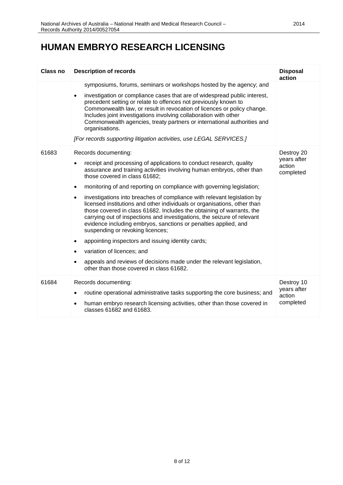#### **HUMAN EMBRYO RESEARCH LICENSING**

| Class no | <b>Description of records</b>                                                                                                                                                                                                                                                                                                                                                                                                                                                | <b>Disposal</b><br>action          |
|----------|------------------------------------------------------------------------------------------------------------------------------------------------------------------------------------------------------------------------------------------------------------------------------------------------------------------------------------------------------------------------------------------------------------------------------------------------------------------------------|------------------------------------|
|          | symposiums, forums, seminars or workshops hosted by the agency; and                                                                                                                                                                                                                                                                                                                                                                                                          |                                    |
|          | investigation or compliance cases that are of widespread public interest,<br>$\bullet$<br>precedent setting or relate to offences not previously known to<br>Commonwealth law, or result in revocation of licences or policy change.<br>Includes joint investigations involving collaboration with other<br>Commonwealth agencies, treaty partners or international authorities and<br>organisations.<br>[For records supporting litigation activities, use LEGAL SERVICES.] |                                    |
| 61683    | Records documenting:                                                                                                                                                                                                                                                                                                                                                                                                                                                         | Destroy 20                         |
|          | receipt and processing of applications to conduct research, quality<br>$\bullet$<br>assurance and training activities involving human embryos, other than<br>those covered in class 61682;                                                                                                                                                                                                                                                                                   | years after<br>action<br>completed |
|          | monitoring of and reporting on compliance with governing legislation;<br>$\bullet$                                                                                                                                                                                                                                                                                                                                                                                           |                                    |
|          | investigations into breaches of compliance with relevant legislation by<br>$\bullet$<br>licensed institutions and other individuals or organisations, other than<br>those covered in class 61682. Includes the obtaining of warrants, the<br>carrying out of inspections and investigations, the seizure of relevant<br>evidence including embryos, sanctions or penalties applied, and<br>suspending or revoking licences;                                                  |                                    |
|          | appointing inspectors and issuing identity cards;<br>$\bullet$                                                                                                                                                                                                                                                                                                                                                                                                               |                                    |
|          | variation of licences; and<br>$\bullet$                                                                                                                                                                                                                                                                                                                                                                                                                                      |                                    |
|          | appeals and reviews of decisions made under the relevant legislation,<br>other than those covered in class 61682.                                                                                                                                                                                                                                                                                                                                                            |                                    |
| 61684    | Records documenting:                                                                                                                                                                                                                                                                                                                                                                                                                                                         | Destroy 10                         |
|          | routine operational administrative tasks supporting the core business; and<br>$\bullet$                                                                                                                                                                                                                                                                                                                                                                                      | years after<br>action              |
|          | human embryo research licensing activities, other than those covered in<br>classes 61682 and 61683.                                                                                                                                                                                                                                                                                                                                                                          | completed                          |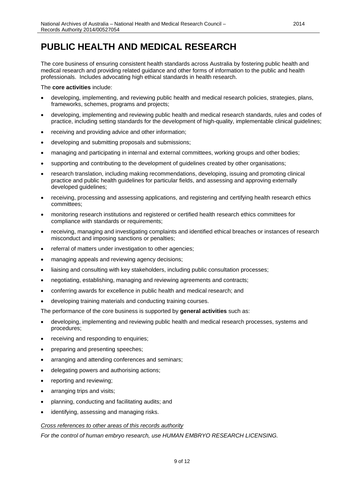The core business of ensuring consistent health standards across Australia by fostering public health and medical research and providing related guidance and other forms of information to the public and health professionals. Includes advocating high ethical standards in health research.

The **core activities** include:

- developing, implementing, and reviewing public health and medical research policies, strategies, plans, frameworks, schemes, programs and projects;
- developing, implementing and reviewing public health and medical research standards, rules and codes of practice, including setting standards for the development of high-quality, implementable clinical guidelines;
- receiving and providing advice and other information;
- developing and submitting proposals and submissions;
- managing and participating in internal and external committees, working groups and other bodies;
- supporting and contributing to the development of guidelines created by other organisations;
- research translation, including making recommendations, developing, issuing and promoting clinical practice and public health guidelines for particular fields, and assessing and approving externally developed guidelines;
- receiving, processing and assessing applications, and registering and certifying health research ethics committees;
- monitoring research institutions and registered or certified health research ethics committees for compliance with standards or requirements;
- receiving, managing and investigating complaints and identified ethical breaches or instances of research misconduct and imposing sanctions or penalties;
- referral of matters under investigation to other agencies;
- managing appeals and reviewing agency decisions;
- liaising and consulting with key stakeholders, including public consultation processes;
- negotiating, establishing, managing and reviewing agreements and contracts;
- conferring awards for excellence in public health and medical research; and
- developing training materials and conducting training courses.

The performance of the core business is supported by **general activities** such as:

- developing, implementing and reviewing public health and medical research processes, systems and procedures;
- receiving and responding to enquiries;
- preparing and presenting speeches;
- arranging and attending conferences and seminars;
- delegating powers and authorising actions;
- reporting and reviewing;
- arranging trips and visits;
- planning, conducting and facilitating audits; and
- identifying, assessing and managing risks.

#### *Cross references to other areas of this records authority*

*For the control of human embryo research, use HUMAN EMBRYO RESEARCH LICENSING.*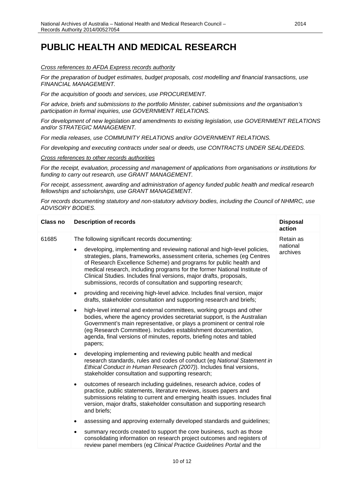#### *Cross references to AFDA Express records authority*

*For the preparation of budget estimates, budget proposals, cost modelling and financial transactions, use FINANCIAL MANAGEMENT.*

*For the acquisition of goods and services, use PROCUREMENT.* 

*For advice, briefs and submissions to the portfolio Minister, cabinet submissions and the organisation's participation in formal inquiries, use GOVERNMENT RELATIONS.*

*For development of new legislation and amendments to existing legislation, use GOVERNMENT RELATIONS and/or STRATEGIC MANAGEMENT.*

*For media releases, use COMMUNITY RELATIONS and/or GOVERNMENT RELATIONS.*

*For developing and executing contracts under seal or deeds, use CONTRACTS UNDER SEAL/DEEDS.*

*Cross references to other records authorities*

*For the receipt, evaluation, processing and management of applications from organisations or institutions for funding to carry out research, use GRANT MANAGEMENT.*

*For receipt, assessment, awarding and administration of agency funded public health and medical research fellowships and scholarships, use GRANT MANAGEMENT.* 

*For records documenting statutory and non-statutory advisory bodies, including the Council of NHMRC, use ADVISORY BODIES.*

| <b>Class no</b> | <b>Description of records</b>                                                                                                                                                                                                                                                                                                                                                                                                                                                                                | <b>Disposal</b><br>action         |
|-----------------|--------------------------------------------------------------------------------------------------------------------------------------------------------------------------------------------------------------------------------------------------------------------------------------------------------------------------------------------------------------------------------------------------------------------------------------------------------------------------------------------------------------|-----------------------------------|
| 61685           | The following significant records documenting:<br>developing, implementing and reviewing national and high-level policies,<br>$\bullet$<br>strategies, plans, frameworks, assessment criteria, schemes (eg Centres<br>of Research Excellence Scheme) and programs for public health and<br>medical research, including programs for the former National Institute of<br>Clinical Studies. Includes final versions, major drafts, proposals,<br>submissions, records of consultation and supporting research; | Retain as<br>national<br>archives |
|                 | providing and receiving high-level advice. Includes final version, major<br>$\bullet$<br>drafts, stakeholder consultation and supporting research and briefs;                                                                                                                                                                                                                                                                                                                                                |                                   |
|                 | high-level internal and external committees, working groups and other<br>$\bullet$<br>bodies, where the agency provides secretariat support, is the Australian<br>Government's main representative, or plays a prominent or central role<br>(eg Research Committee). Includes establishment documentation,<br>agenda, final versions of minutes, reports, briefing notes and tabled<br>papers;                                                                                                               |                                   |
|                 | developing implementing and reviewing public health and medical<br>$\bullet$<br>research standards, rules and codes of conduct (eg National Statement in<br>Ethical Conduct in Human Research (2007)). Includes final versions,<br>stakeholder consultation and supporting research;                                                                                                                                                                                                                         |                                   |
|                 | outcomes of research including guidelines, research advice, codes of<br>$\bullet$<br>practice, public statements, literature reviews, issues papers and<br>submissions relating to current and emerging health issues. Includes final<br>version, major drafts, stakeholder consultation and supporting research<br>and briefs;                                                                                                                                                                              |                                   |
|                 | assessing and approving externally developed standards and guidelines;<br>٠                                                                                                                                                                                                                                                                                                                                                                                                                                  |                                   |
|                 | summary records created to support the core business, such as those<br>٠<br>consolidating information on research project outcomes and registers of<br>review panel members (eg Clinical Practice Guidelines Portal and the                                                                                                                                                                                                                                                                                  |                                   |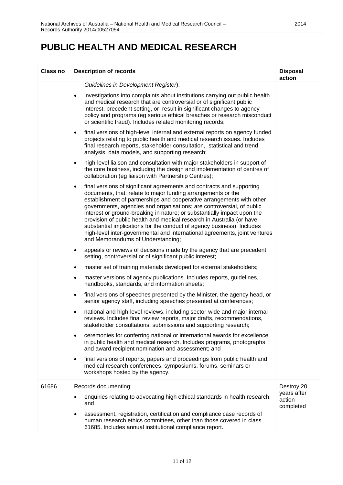| <b>Class no</b> | <b>Description of records</b>                                                                                                                                                                                                                                                                                                                                                                                                                                                                                                                                                                                                                         | <b>Disposal</b><br>action          |
|-----------------|-------------------------------------------------------------------------------------------------------------------------------------------------------------------------------------------------------------------------------------------------------------------------------------------------------------------------------------------------------------------------------------------------------------------------------------------------------------------------------------------------------------------------------------------------------------------------------------------------------------------------------------------------------|------------------------------------|
|                 | Guidelines in Development Register);                                                                                                                                                                                                                                                                                                                                                                                                                                                                                                                                                                                                                  |                                    |
|                 | investigations into complaints about institutions carrying out public health<br>$\bullet$<br>and medical research that are controversial or of significant public<br>interest, precedent setting, or result in significant changes to agency<br>policy and programs (eg serious ethical breaches or research misconduct<br>or scientific fraud). Includes related monitoring records;                                                                                                                                                                                                                                                                 |                                    |
|                 | final versions of high-level internal and external reports on agency funded<br>$\bullet$<br>projects relating to public health and medical research issues. Includes<br>final research reports, stakeholder consultation, statistical and trend<br>analysis, data models, and supporting research;                                                                                                                                                                                                                                                                                                                                                    |                                    |
|                 | high-level liaison and consultation with major stakeholders in support of<br>$\bullet$<br>the core business, including the design and implementation of centres of<br>collaboration (eg liaison with Partnership Centres);                                                                                                                                                                                                                                                                                                                                                                                                                            |                                    |
|                 | final versions of significant agreements and contracts and supporting<br>$\bullet$<br>documents, that: relate to major funding arrangements or the<br>establishment of partnerships and cooperative arrangements with other<br>governments, agencies and organisations; are controversial, of public<br>interest or ground-breaking in nature; or substantially impact upon the<br>provision of public health and medical research in Australia (or have<br>substantial implications for the conduct of agency business). Includes<br>high-level inter-governmental and international agreements, joint ventures<br>and Memorandums of Understanding; |                                    |
|                 | appeals or reviews of decisions made by the agency that are precedent<br>$\bullet$<br>setting, controversial or of significant public interest;                                                                                                                                                                                                                                                                                                                                                                                                                                                                                                       |                                    |
|                 | master set of training materials developed for external stakeholders;<br>$\bullet$                                                                                                                                                                                                                                                                                                                                                                                                                                                                                                                                                                    |                                    |
|                 | master versions of agency publications. Includes reports, guidelines,<br>$\bullet$<br>handbooks, standards, and information sheets;                                                                                                                                                                                                                                                                                                                                                                                                                                                                                                                   |                                    |
|                 | final versions of speeches presented by the Minister, the agency head, or<br>$\bullet$<br>senior agency staff, including speeches presented at conferences;                                                                                                                                                                                                                                                                                                                                                                                                                                                                                           |                                    |
|                 | national and high-level reviews, including sector-wide and major internal<br>$\bullet$<br>reviews. Includes final review reports, major drafts, recommendations,<br>stakeholder consultations, submissions and supporting research;                                                                                                                                                                                                                                                                                                                                                                                                                   |                                    |
|                 | ceremonies for conferring national or international awards for excellence<br>٠<br>in public health and medical research. Includes programs, photographs<br>and award recipient nomination and assessment; and                                                                                                                                                                                                                                                                                                                                                                                                                                         |                                    |
|                 | final versions of reports, papers and proceedings from public health and<br>$\bullet$<br>medical research conferences, symposiums, forums, seminars or<br>workshops hosted by the agency.                                                                                                                                                                                                                                                                                                                                                                                                                                                             |                                    |
| 61686           | Records documenting:                                                                                                                                                                                                                                                                                                                                                                                                                                                                                                                                                                                                                                  | Destroy 20                         |
|                 | enquiries relating to advocating high ethical standards in health research;<br>and                                                                                                                                                                                                                                                                                                                                                                                                                                                                                                                                                                    | years after<br>action<br>completed |
|                 | assessment, registration, certification and compliance case records of<br>human research ethics committees, other than those covered in class<br>61685. Includes annual institutional compliance report.                                                                                                                                                                                                                                                                                                                                                                                                                                              |                                    |